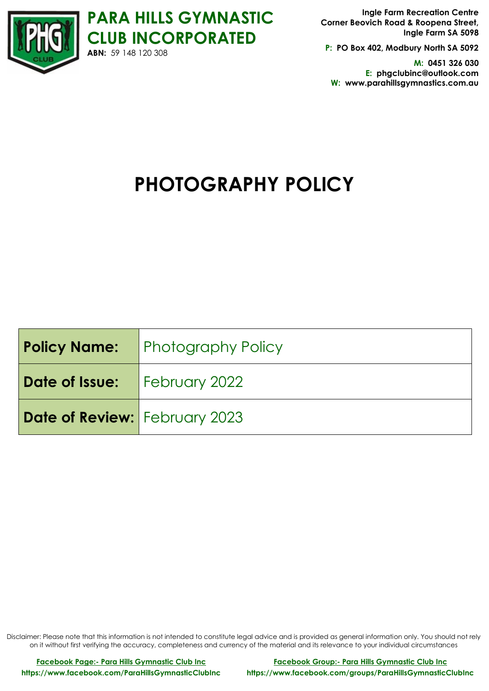

**Ingle Farm Recreation Centre Corner Beovich Road & Roopena Street, Ingle Farm SA 5098**

**P: PO Box 402, Modbury North SA 5092**

**M: 0451 326 030 E: phgclubinc@outlook.com W: www.parahillsgymnastics.com.au**

# **PHOTOGRAPHY POLICY**

|                                      | <b>Policy Name:</b> Photography Policy |
|--------------------------------------|----------------------------------------|
| <b>Date of Issue:</b> February 2022  |                                        |
| <b>Date of Review:</b> February 2023 |                                        |

Disclaimer: Please note that this information is not intended to constitute legal advice and is provided as general information only. You should not rely on it without first verifying the accuracy, completeness and currency of the material and its relevance to your individual circumstances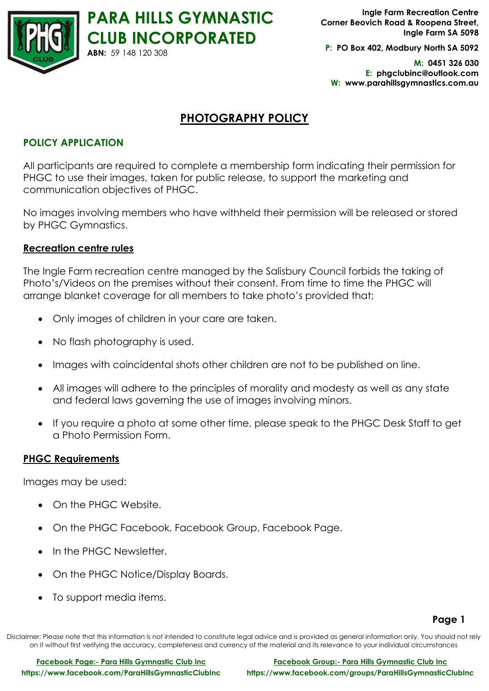

**Ingle Farm Recreation Centre Corner Beovich Road & Roopena Street, Ingle Farm SA 5098**

**P: PO Box 402, Modbury North SA 5092**

**M: 0451 326 030 E: phgclubinc@outlook.com W: www.parahillsgymnastics.com.au**

## **PHOTOGRAPHY POLICY**

## **POLICY APPLICATION**

All participants are required to complete a membership form indicating their permission for PHGC to use their images, taken for public release, to support the marketing and communication objectives of PHGC.

No images involving members who have withheld their permission will be released or stored by PHGC Gymnastics.

## **Recreation centre rules**

The Ingle Farm recreation centre managed by the Salisbury Council forbids the taking of Photo's/Videos on the premises without their consent. From time to time the PHGC will arrange blanket coverage for all members to take photo's provided that;

- Only images of children in your care are taken.
- No flash photography is used.
- Images with coincidental shots other children are not to be published on line.
- All images will adhere to the principles of morality and modesty as well as any state and federal laws governing the use of images involving minors.
- If you require a photo at some other time, please speak to the PHGC Desk Staff to get a Photo Permission Form.

## **PHGC Requirements**

Images may be used:

- On the PHGC Website.
- On the PHGC Facebook, Facebook Group, Facebook Page.
- In the PHGC Newsletter.
- On the PHGC Notice/Display Boards.
- To support media items.

#### **Page 1**

Disclaimer: Please note that this information is not intended to constitute legal advice and is provided as general information only. You should not rely on it without first verifying the accuracy, completeness and currency of the material and its relevance to your individual circumstances